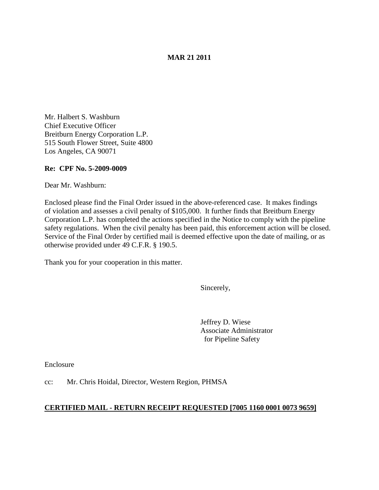# **MAR 21 2011**

Mr. Halbert S. Washburn Chief Executive Officer Breitburn Energy Corporation L.P. 515 South Flower Street, Suite 4800 Los Angeles, CA 90071

### **Re: CPF No. 5-2009-0009**

Dear Mr. Washburn:

Enclosed please find the Final Order issued in the above-referenced case. It makes findings of violation and assesses a civil penalty of \$105,000. It further finds that Breitburn Energy Corporation L.P. has completed the actions specified in the Notice to comply with the pipeline safety regulations. When the civil penalty has been paid, this enforcement action will be closed. Service of the Final Order by certified mail is deemed effective upon the date of mailing, or as otherwise provided under 49 C.F.R. § 190.5.

Thank you for your cooperation in this matter.

Sincerely,

Jeffrey D. Wiese Associate Administrator for Pipeline Safety

Enclosure

cc: Mr. Chris Hoidal, Director, Western Region, PHMSA

### **CERTIFIED MAIL - RETURN RECEIPT REQUESTED [7005 1160 0001 0073 9659]**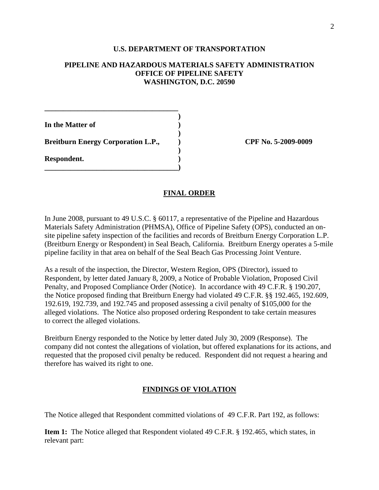#### **U.S. DEPARTMENT OF TRANSPORTATION**

## **PIPELINE AND HAZARDOUS MATERIALS SAFETY ADMINISTRATION OFFICE OF PIPELINE SAFETY WASHINGTON, D.C. 20590**

**)**

**)**

**)**

**In the Matter of )**

**Breitburn Energy Corporation L.P., ) CPF No. 5-2009-0009**

**\_\_\_\_\_\_\_\_\_\_\_\_\_\_\_\_\_\_\_\_\_\_\_\_\_\_\_\_\_\_\_\_\_\_\_\_)**

**\_\_\_\_\_\_\_\_\_\_\_\_\_\_\_\_\_\_\_\_\_\_\_\_\_\_\_\_\_\_\_\_\_\_\_\_**

**Respondent. )**

### **FINAL ORDER**

In June 2008, pursuant to 49 U.S.C. § 60117, a representative of the Pipeline and Hazardous Materials Safety Administration (PHMSA), Office of Pipeline Safety (OPS), conducted an onsite pipeline safety inspection of the facilities and records of Breitburn Energy Corporation L.P. (Breitburn Energy or Respondent) in Seal Beach, California. Breitburn Energy operates a 5-mile pipeline facility in that area on behalf of the Seal Beach Gas Processing Joint Venture.

As a result of the inspection, the Director, Western Region, OPS (Director), issued to Respondent, by letter dated January 8, 2009, a Notice of Probable Violation, Proposed Civil Penalty, and Proposed Compliance Order (Notice). In accordance with 49 C.F.R. § 190.207, the Notice proposed finding that Breitburn Energy had violated 49 C.F.R. §§ 192.465, 192.609, 192.619, 192.739, and 192.745 and proposed assessing a civil penalty of \$105,000 for the alleged violations. The Notice also proposed ordering Respondent to take certain measures to correct the alleged violations.

Breitburn Energy responded to the Notice by letter dated July 30, 2009 (Response). The company did not contest the allegations of violation, but offered explanations for its actions, and requested that the proposed civil penalty be reduced. Respondent did not request a hearing and therefore has waived its right to one.

# **FINDINGS OF VIOLATION**

The Notice alleged that Respondent committed violations of 49 C.F.R. Part 192, as follows:

**Item 1:** The Notice alleged that Respondent violated 49 C.F.R. § 192.465, which states, in relevant part: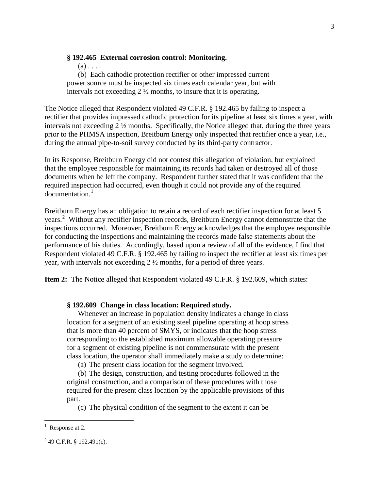### **§ 192.465 External corrosion control: Monitoring.**

 $(a)$ ...

(b) Each cathodic protection rectifier or other impressed current power source must be inspected six times each calendar year, but with intervals not exceeding 2 ½ months, to insure that it is operating.

The Notice alleged that Respondent violated 49 C.F.R. § 192.465 by failing to inspect a rectifier that provides impressed cathodic protection for its pipeline at least six times a year, with intervals not exceeding 2 ½ months. Specifically, the Notice alleged that, during the three years prior to the PHMSA inspection, Breitburn Energy only inspected that rectifier once a year, i.e., during the annual pipe-to-soil survey conducted by its third-party contractor.

In its Response, Breitburn Energy did not contest this allegation of violation, but explained that the employee responsible for maintaining its records had taken or destroyed all of those documents when he left the company. Respondent further stated that it was confident that the required inspection had occurred, even though it could not provide any of the required documentation. [1](#page-2-0)

Breitburn Energy has an obligation to retain a record of each rectifier inspection for at least 5 years.<sup>[2](#page-2-1)</sup> Without any rectifier inspection records, Breitburn Energy cannot demonstrate that the inspections occurred. Moreover, Breitburn Energy acknowledges that the employee responsible for conducting the inspections and maintaining the records made false statements about the performance of his duties. Accordingly, based upon a review of all of the evidence, I find that Respondent violated 49 C.F.R. § 192.465 by failing to inspect the rectifier at least six times per year, with intervals not exceeding 2 ½ months, for a period of three years.

**Item 2:** The Notice alleged that Respondent violated 49 C.F.R. § 192.609, which states:

### **§ 192.609 Change in class location: Required study.**

Whenever an increase in population density indicates a change in class location for a segment of an existing steel pipeline operating at hoop stress that is more than 40 percent of SMYS, or indicates that the hoop stress corresponding to the established maximum allowable operating pressure for a segment of existing pipeline is not commensurate with the present class location, the operator shall immediately make a study to determine:

(a) The present class location for the segment involved.

(b) The design, construction, and testing procedures followed in the original construction, and a comparison of these procedures with those required for the present class location by the applicable provisions of this part.

(c) The physical condition of the segment to the extent it can be

<span id="page-2-0"></span> $\frac{1}{1}$  $<sup>1</sup>$  Response at 2.</sup>

<span id="page-2-1"></span> $2$  49 C.F.R. § 192.491(c).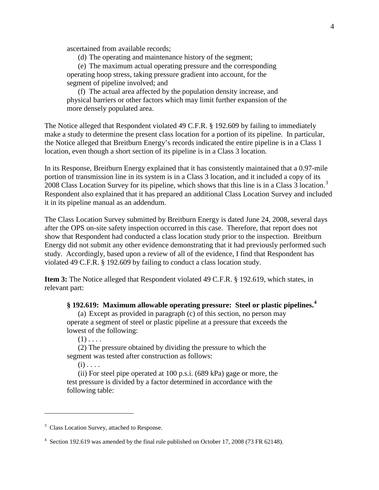ascertained from available records;

(d) The operating and maintenance history of the segment;

(e) The maximum actual operating pressure and the corresponding operating hoop stress, taking pressure gradient into account, for the segment of pipeline involved; and

(f) The actual area affected by the population density increase, and physical barriers or other factors which may limit further expansion of the more densely populated area.

The Notice alleged that Respondent violated 49 C.F.R. § 192.609 by failing to immediately make a study to determine the present class location for a portion of its pipeline. In particular, the Notice alleged that Breitburn Energy's records indicated the entire pipeline is in a Class 1 location, even though a short section of its pipeline is in a Class 3 location.

In its Response, Breitburn Energy explained that it has consistently maintained that a 0.97-mile portion of transmission line in its system is in a Class 3 location, and it included a copy of its 2008 Class Location Survey for its pipeline, which shows that this line is in a Class [3](#page-3-0) location.<sup>3</sup> Respondent also explained that it has prepared an additional Class Location Survey and included it in its pipeline manual as an addendum.

The Class Location Survey submitted by Breitburn Energy is dated June 24, 2008, several days after the OPS on-site safety inspection occurred in this case. Therefore, that report does not show that Respondent had conducted a class location study prior to the inspection. Breitburn Energy did not submit any other evidence demonstrating that it had previously performed such study. Accordingly, based upon a review of all of the evidence, I find that Respondent has violated 49 C.F.R. § 192.609 by failing to conduct a class location study.

**Item 3:** The Notice alleged that Respondent violated 49 C.F.R. § 192.619, which states, in relevant part:

**§ 192.619: Maximum allowable operating pressure: Steel or plastic pipelines.[4](#page-3-1)**

(a) Except as provided in paragraph (c) of this section, no person may operate a segment of steel or plastic pipeline at a pressure that exceeds the lowest of the following:

 $(1)$ ...

(2) The pressure obtained by dividing the pressure to which the segment was tested after construction as follows:

 $(i)$ ...

 $\overline{a}$ 

(ii) For steel pipe operated at 100 p.s.i. (689 kPa) gage or more, the test pressure is divided by a factor determined in accordance with the following table:

<span id="page-3-0"></span><sup>&</sup>lt;sup>3</sup> Class Location Survey, attached to Response.

<span id="page-3-1"></span><sup>&</sup>lt;sup>4</sup> Section 192.619 was amended by the final rule published on October 17, 2008 (73 FR 62148).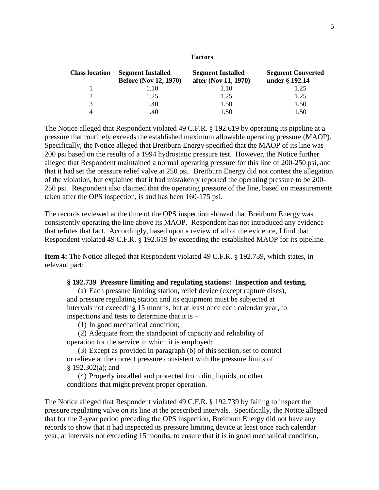| <b>Class location</b> | <b>Segment Installed</b><br><b>Before (Nov 12, 1970)</b> | <b>Segment Installed</b><br>after (Nov 11, 1970) | <b>Segment Converted</b><br>under § 192.14 |
|-----------------------|----------------------------------------------------------|--------------------------------------------------|--------------------------------------------|
|                       | 1.10                                                     | 1.10                                             | 1.25                                       |
|                       | 1.25                                                     | 1.25                                             | 1.25                                       |
| $\mathcal{R}$         | 1.40                                                     | 1.50                                             | 1.50                                       |
|                       | $\pm 40$                                                 | 1 50                                             | 1.50                                       |

The Notice alleged that Respondent violated 49 C.F.R. § 192.619 by operating its pipeline at a pressure that routinely exceeds the established maximum allowable operating pressure (MAOP). Specifically, the Notice alleged that Breitburn Energy specified that the MAOP of its line was 200 psi based on the results of a 1994 hydrostatic pressure test. However, the Notice further alleged that Respondent maintained a normal operating pressure for this line of 200-250 psi, and that it had set the pressure relief valve at 250 psi. Breitburn Energy did not contest the allegation of the violation, but explained that it had mistakenly reported the operating pressure to be 200- 250 psi. Respondent also claimed that the operating pressure of the line, based on measurements taken after the OPS inspection, is and has been 160-175 psi.

The records reviewed at the time of the OPS inspection showed that Breitburn Energy was consistently operating the line above its MAOP. Respondent has not introduced any evidence that refutes that fact. Accordingly, based upon a review of all of the evidence, I find that Respondent violated 49 C.F.R. § 192.619 by exceeding the established MAOP for its pipeline.

**Item 4:** The Notice alleged that Respondent violated 49 C.F.R. § 192.739, which states, in relevant part:

### **§ 192.739 Pressure limiting and regulating stations: Inspection and testing.**

(a) Each pressure limiting station, relief device (except rupture discs), and pressure regulating station and its equipment must be subjected at intervals not exceeding 15 months, but at least once each calendar year, to inspections and tests to determine that it is –

(1) In good mechanical condition;

(2) Adequate from the standpoint of capacity and reliability of operation for the service in which it is employed;

(3) Except as provided in paragraph (b) of this section, set to control or relieve at the correct pressure consistent with the pressure limits of § 192.302(a); and

(4) Properly installed and protected from dirt, liquids, or other conditions that might prevent proper operation.

The Notice alleged that Respondent violated 49 C.F.R. § 192.739 by failing to inspect the pressure regulating valve on its line at the prescribed intervals. Specifically, the Notice alleged that for the 3-year period preceding the OPS inspection, Breitburn Energy did not have any records to show that it had inspected its pressure limiting device at least once each calendar year, at intervals not exceeding 15 months, to ensure that it is in good mechanical condition,

#### **Factors**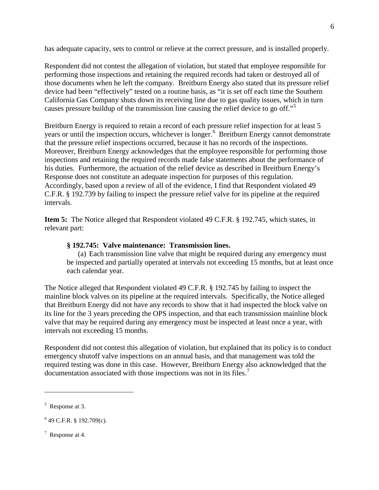has adequate capacity, sets to control or relieve at the correct pressure, and is installed properly.

Respondent did not contest the allegation of violation, but stated that employee responsible for performing those inspections and retaining the required records had taken or destroyed all of those documents when he left the company. Breitburn Energy also stated that its pressure relief device had been "effectively" tested on a routine basis, as "it is set off each time the Southern California Gas Company shuts down its receiving line due to gas quality issues, which in turn causes pressure buildup of the transmission line causing the relief device to go off."<sup>[5](#page-5-0)</sup>

Breitburn Energy is required to retain a record of each pressure relief inspection for at least 5 years or until the inspection occurs, whichever is longer.<sup>[6](#page-5-1)</sup> Breitburn Energy cannot demonstrate that the pressure relief inspections occurred, because it has no records of the inspections. Moreover, Breitburn Energy acknowledges that the employee responsible for performing those inspections and retaining the required records made false statements about the performance of his duties. Furthermore, the actuation of the relief device as described in Breitburn Energy's Response does not constitute an adequate inspection for purposes of this regulation. Accordingly, based upon a review of all of the evidence, I find that Respondent violated 49 C.F.R. § 192.739 by failing to inspect the pressure relief valve for its pipeline at the required intervals.

**Item 5:** The Notice alleged that Respondent violated 49 C.F.R. § 192.745, which states, in relevant part:

# **§ 192.745: Valve maintenance: Transmission lines.**

(a) Each transmission line valve that might be required during any emergency must be inspected and partially operated at intervals not exceeding 15 months, but at least once each calendar year.

The Notice alleged that Respondent violated 49 C.F.R. § 192.745 by failing to inspect the mainline block valves on its pipeline at the required intervals. Specifically, the Notice alleged that Breitburn Energy did not have any records to show that it had inspected the block valve on its line for the 3 years preceding the OPS inspection, and that each transmission mainline block valve that may be required during any emergency must be inspected at least once a year, with intervals not exceeding 15 months.

Respondent did not contest this allegation of violation, but explained that its policy is to conduct emergency shutoff valve inspections on an annual basis, and that management was told the required testing was done in this case. However, Breitburn Energy also acknowledged that the documentation associated with those inspections was not in its files.<sup>[7](#page-5-2)</sup>

 $\overline{a}$ 

<span id="page-5-2"></span> $7$  Response at 4.

<span id="page-5-0"></span><sup>&</sup>lt;sup>5</sup> Response at 3.

<span id="page-5-1"></span> $649$  C.F.R. § 192.709(c).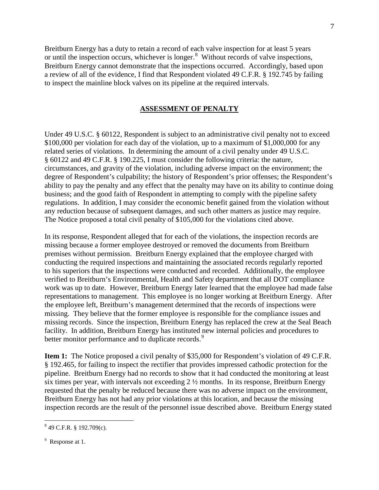Breitburn Energy has a duty to retain a record of each valve inspection for at least 5 years or until the inspection occurs, whichever is longer.<sup>[8](#page-6-0)</sup> Without records of valve inspections, a review of all of the evidence, I find that Respondent violated 49 C.F.R. § 192.745 by failing Breitburn Energy cannot demonstrate that the inspections occurred. Accordingly, based upon to inspect the mainline block valves on its pipeline at the required intervals.

# **ASSESSMENT OF PENALTY**

Under 49 U.S.C. § 60122, Respondent is subject to an administrative civil penalty not to exceed \$100,000 per violation for each day of the violation, up to a maximum of \$1,000,000 for any related series of violations. In determining the amount of a civil penalty under 49 U.S.C. § 60122 and 49 C.F.R. § 190.225, I must consider the following criteria: the nature, circumstances, and gravity of the violation, including adverse impact on the environment; the degree of Respondent's culpability; the history of Respondent's prior offenses; the Respondent's ability to pay the penalty and any effect that the penalty may have on its ability to continue doing business; and the good faith of Respondent in attempting to comply with the pipeline safety regulations. In addition, I may consider the economic benefit gained from the violation without any reduction because of subsequent damages, and such other matters as justice may require. The Notice proposed a total civil penalty of \$105,000 for the violations cited above.

In its response, Respondent alleged that for each of the violations, the inspection records are missing because a former employee destroyed or removed the documents from Breitburn premises without permission. Breitburn Energy explained that the employee charged with conducting the required inspections and maintaining the associated records regularly reported to his superiors that the inspections were conducted and recorded. Additionally, the employee verified to Breitburn's Environmental, Health and Safety department that all DOT compliance work was up to date. However, Breitburn Energy later learned that the employee had made false representations to management. This employee is no longer working at Breitburn Energy. After the employee left, Breitburn's management determined that the records of inspections were missing. They believe that the former employee is responsible for the compliance issues and missing records. Since the inspection, Breitburn Energy has replaced the crew at the Seal Beach facility. In addition, Breitburn Energy has instituted new internal policies and procedures to better monitor performance and to duplicate records.<sup>[9](#page-6-1)</sup>

**Item 1:** The Notice proposed a civil penalty of \$35,000 for Respondent's violation of 49 C.F.R. § 192.465, for failing to inspect the rectifier that provides impressed cathodic protection for the pipeline. Breitburn Energy had no records to show that it had conducted the monitoring at least six times per year, with intervals not exceeding  $2\frac{1}{2}$  months. In its response, Breitburn Energy requested that the penalty be reduced because there was no adverse impact on the environment, Breitburn Energy has not had any prior violations at this location, and because the missing inspection records are the result of the personnel issue described above. Breitburn Energy stated

<span id="page-6-0"></span> $849$  C.F.R. § 192.709(c).

<span id="page-6-1"></span><sup>&</sup>lt;sup>9</sup> Response at 1.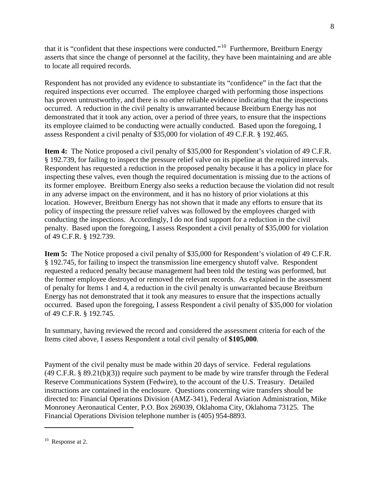that it is "confident that these inspections were conducted."[10](#page-7-0) Furthermore, Breitburn Energy asserts that since the change of personnel at the facility, they have been maintaining and are able to locate all required records.

Respondent has not provided any evidence to substantiate its "confidence" in the fact that the required inspections ever occurred. The employee charged with performing those inspections has proven untrustworthy, and there is no other reliable evidence indicating that the inspections occurred. A reduction in the civil penalty is unwarranted because Breitburn Energy has not demonstrated that it took any action, over a period of three years, to ensure that the inspections its employee claimed to be conducting were actually conducted. Based upon the foregoing, I assess Respondent a civil penalty of \$35,000 for violation of 49 C.F.R. § 192.465.

**Item 4:** The Notice proposed a civil penalty of \$35,000 for Respondent's violation of 49 C.F.R. § 192.739, for failing to inspect the pressure relief valve on its pipeline at the required intervals. Respondent has requested a reduction in the proposed penalty because it has a policy in place for inspecting these valves, even though the required documentation is missing due to the actions of its former employee. Breitburn Energy also seeks a reduction because the violation did not result in any adverse impact on the environment, and it has no history of prior violations at this location. However, Breitburn Energy has not shown that it made any efforts to ensure that its policy of inspecting the pressure relief valves was followed by the employees charged with conducting the inspections. Accordingly, I do not find support for a reduction in the civil penalty. Based upon the foregoing, I assess Respondent a civil penalty of \$35,000 for violation of 49 C.F.R. § 192.739.

**Item 5:** The Notice proposed a civil penalty of \$35,000 for Respondent's violation of 49 C.F.R. § 192.745, for failing to inspect the transmission line emergency shutoff valve. Respondent requested a reduced penalty because management had been told the testing was performed, but the former employee destroyed or removed the relevant records. As explained in the assessment of penalty for Items 1 and 4, a reduction in the civil penalty is unwarranted because Breitburn Energy has not demonstrated that it took any measures to ensure that the inspections actually occurred. Based upon the foregoing, I assess Respondent a civil penalty of \$35,000 for violation of 49 C.F.R. § 192.745.

In summary, having reviewed the record and considered the assessment criteria for each of the Items cited above, I assess Respondent a total civil penalty of **\$105,000**.

Payment of the civil penalty must be made within 20 days of service. Federal regulations (49 C.F.R. § 89.21(b)(3)) require such payment to be made by wire transfer through the Federal Reserve Communications System (Fedwire), to the account of the U.S. Treasury. Detailed instructions are contained in the enclosure. Questions concerning wire transfers should be directed to: Financial Operations Division (AMZ-341), Federal Aviation Administration, Mike Monroney Aeronautical Center, P.O. Box 269039, Oklahoma City, Oklahoma 73125. The Financial Operations Division telephone number is (405) 954-8893.

 $\overline{a}$ 

<span id="page-7-0"></span><sup>&</sup>lt;sup>10</sup> Response at 2.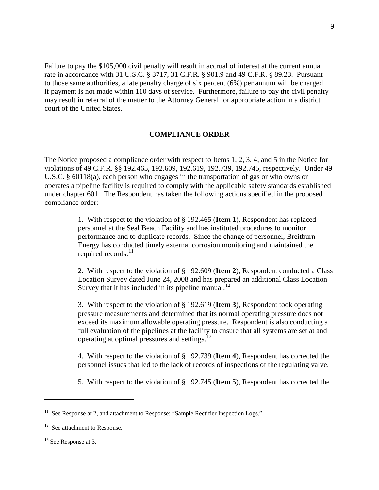Failure to pay the \$105,000 civil penalty will result in accrual of interest at the current annual rate in accordance with 31 U.S.C. § 3717, 31 C.F.R. § 901.9 and 49 C.F.R. § 89.23. Pursuant to those same authorities, a late penalty charge of six percent (6%) per annum will be charged if payment is not made within 110 days of service. Furthermore, failure to pay the civil penalty may result in referral of the matter to the Attorney General for appropriate action in a district court of the United States.

### **COMPLIANCE ORDER**

The Notice proposed a compliance order with respect to Items 1, 2, 3, 4, and 5 in the Notice for violations of 49 C.F.R. §§ 192.465, 192.609, 192.619, 192.739, 192.745, respectively. Under 49 U.S.C. § 60118(a), each person who engages in the transportation of gas or who owns or operates a pipeline facility is required to comply with the applicable safety standards established under chapter 601. The Respondent has taken the following actions specified in the proposed compliance order:

> 1. With respect to the violation of § 192.465 (**Item 1**), Respondent has replaced personnel at the Seal Beach Facility and has instituted procedures to monitor performance and to duplicate records. Since the change of personnel, Breitburn Energy has conducted timely external corrosion monitoring and maintained the required records.<sup>[11](#page-8-0)</sup>

2. With respect to the violation of § 192.609 (**Item 2**), Respondent conducted a Class Location Survey dated June 24, 2008 and has prepared an additional Class Location Survey that it has included in its pipeline manual. $^{12}$  $^{12}$  $^{12}$ 

3. With respect to the violation of § 192.619 (**Item 3**), Respondent took operating pressure measurements and determined that its normal operating pressure does not exceed its maximum allowable operating pressure. Respondent is also conducting a full evaluation of the pipelines at the facility to ensure that all systems are set at and operating at optimal pressures and settings.<sup>[13](#page-8-2)</sup>

4. With respect to the violation of § 192.739 (**Item 4**), Respondent has corrected the personnel issues that led to the lack of records of inspections of the regulating valve.

5. With respect to the violation of § 192.745 (**Item 5**), Respondent has corrected the

 $\overline{a}$ 

<span id="page-8-0"></span> $11$  See Response at 2, and attachment to Response: "Sample Rectifier Inspection Logs."

<span id="page-8-1"></span> $12$  See attachment to Response.

<span id="page-8-2"></span><sup>&</sup>lt;sup>13</sup> See Response at 3.